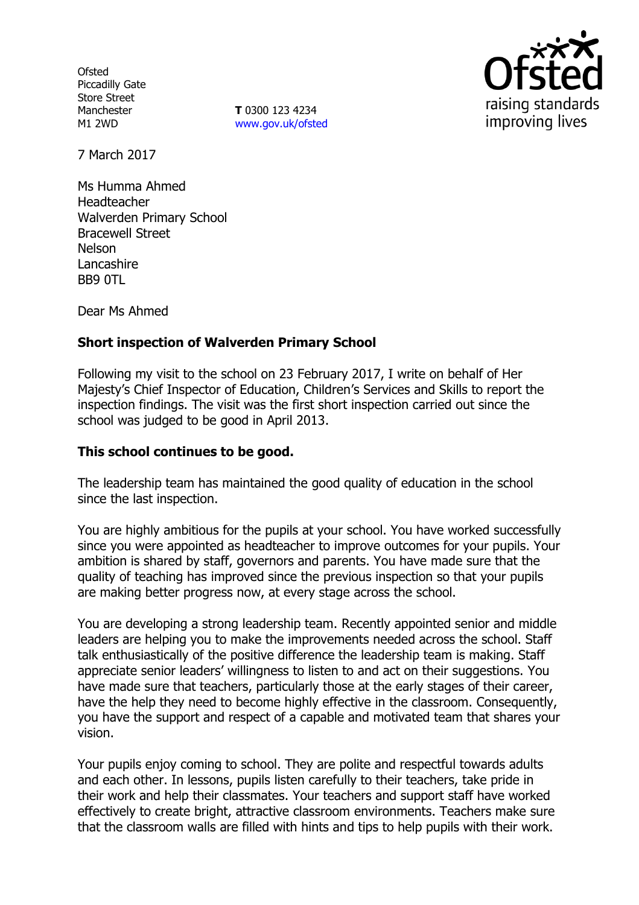**Ofsted** Piccadilly Gate Store Street Manchester M1 2WD

**T** 0300 123 4234 www.gov.uk/ofsted



7 March 2017

Ms Humma Ahmed Headteacher Walverden Primary School Bracewell Street Nelson Lancashire BB9 0TL

Dear Ms Ahmed

### **Short inspection of Walverden Primary School**

Following my visit to the school on 23 February 2017, I write on behalf of Her Majesty's Chief Inspector of Education, Children's Services and Skills to report the inspection findings. The visit was the first short inspection carried out since the school was judged to be good in April 2013.

#### **This school continues to be good.**

The leadership team has maintained the good quality of education in the school since the last inspection.

You are highly ambitious for the pupils at your school. You have worked successfully since you were appointed as headteacher to improve outcomes for your pupils. Your ambition is shared by staff, governors and parents. You have made sure that the quality of teaching has improved since the previous inspection so that your pupils are making better progress now, at every stage across the school.

You are developing a strong leadership team. Recently appointed senior and middle leaders are helping you to make the improvements needed across the school. Staff talk enthusiastically of the positive difference the leadership team is making. Staff appreciate senior leaders' willingness to listen to and act on their suggestions. You have made sure that teachers, particularly those at the early stages of their career, have the help they need to become highly effective in the classroom. Consequently, you have the support and respect of a capable and motivated team that shares your vision.

Your pupils enjoy coming to school. They are polite and respectful towards adults and each other. In lessons, pupils listen carefully to their teachers, take pride in their work and help their classmates. Your teachers and support staff have worked effectively to create bright, attractive classroom environments. Teachers make sure that the classroom walls are filled with hints and tips to help pupils with their work.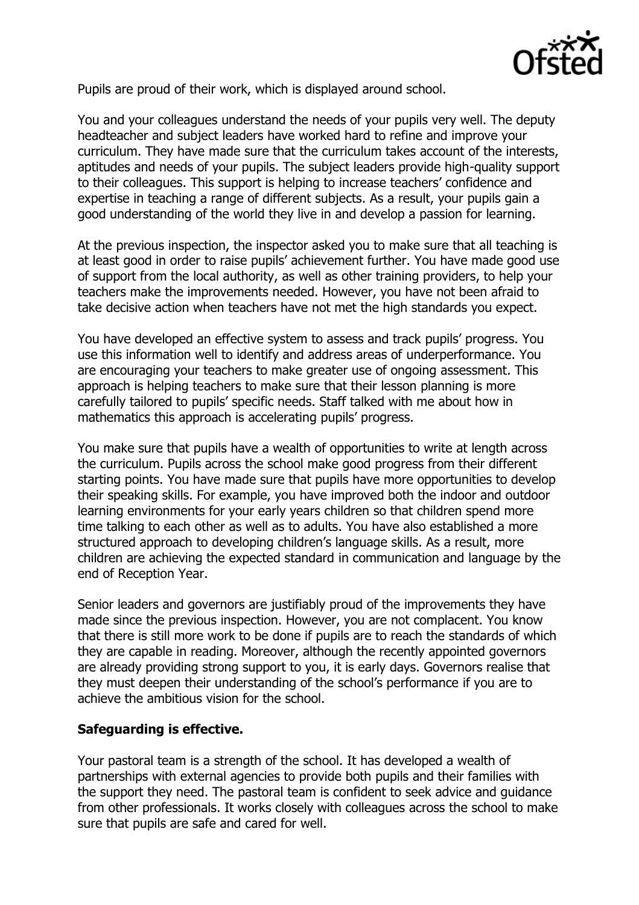

Pupils are proud of their work, which is displayed around school.

You and your colleagues understand the needs of your pupils very well. The deputy headteacher and subject leaders have worked hard to refine and improve your curriculum. They have made sure that the curriculum takes account of the interests, aptitudes and needs of your pupils. The subject leaders provide high-quality support to their colleagues. This support is helping to increase teachers' confidence and expertise in teaching a range of different subjects. As a result, your pupils gain a good understanding of the world they live in and develop a passion for learning.

At the previous inspection, the inspector asked you to make sure that all teaching is at least good in order to raise pupils' achievement further. You have made good use of support from the local authority, as well as other training providers, to help your teachers make the improvements needed. However, you have not been afraid to take decisive action when teachers have not met the high standards you expect.

You have developed an effective system to assess and track pupils' progress. You use this information well to identify and address areas of underperformance. You are encouraging your teachers to make greater use of ongoing assessment. This approach is helping teachers to make sure that their lesson planning is more carefully tailored to pupils' specific needs. Staff talked with me about how in mathematics this approach is accelerating pupils' progress.

You make sure that pupils have a wealth of opportunities to write at length across the curriculum. Pupils across the school make good progress from their different starting points. You have made sure that pupils have more opportunities to develop their speaking skills. For example, you have improved both the indoor and outdoor learning environments for your early years children so that children spend more time talking to each other as well as to adults. You have also established a more structured approach to developing children's language skills. As a result, more children are achieving the expected standard in communication and language by the end of Reception Year.

Senior leaders and governors are justifiably proud of the improvements they have made since the previous inspection. However, you are not complacent. You know that there is still more work to be done if pupils are to reach the standards of which they are capable in reading. Moreover, although the recently appointed governors are already providing strong support to you, it is early days. Governors realise that they must deepen their understanding of the school's performance if you are to achieve the ambitious vision for the school.

# **Safeguarding is effective.**

Your pastoral team is a strength of the school. It has developed a wealth of partnerships with external agencies to provide both pupils and their families with the support they need. The pastoral team is confident to seek advice and guidance from other professionals. It works closely with colleagues across the school to make sure that pupils are safe and cared for well.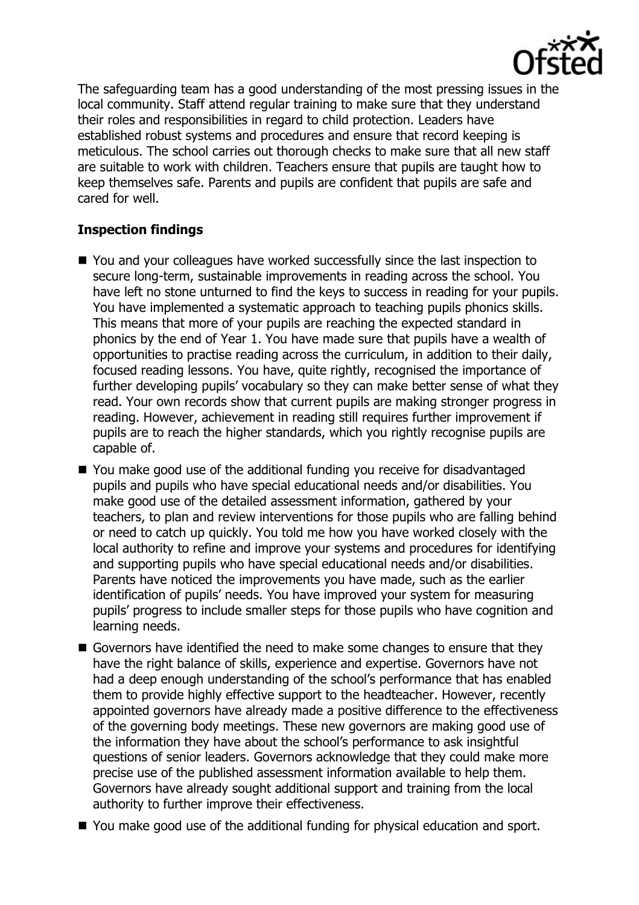

The safeguarding team has a good understanding of the most pressing issues in the local community. Staff attend regular training to make sure that they understand their roles and responsibilities in regard to child protection. Leaders have established robust systems and procedures and ensure that record keeping is meticulous. The school carries out thorough checks to make sure that all new staff are suitable to work with children. Teachers ensure that pupils are taught how to keep themselves safe. Parents and pupils are confident that pupils are safe and cared for well.

# **Inspection findings**

- You and your colleagues have worked successfully since the last inspection to secure long-term, sustainable improvements in reading across the school. You have left no stone unturned to find the keys to success in reading for your pupils. You have implemented a systematic approach to teaching pupils phonics skills. This means that more of your pupils are reaching the expected standard in phonics by the end of Year 1. You have made sure that pupils have a wealth of opportunities to practise reading across the curriculum, in addition to their daily, focused reading lessons. You have, quite rightly, recognised the importance of further developing pupils' vocabulary so they can make better sense of what they read. Your own records show that current pupils are making stronger progress in reading. However, achievement in reading still requires further improvement if pupils are to reach the higher standards, which you rightly recognise pupils are capable of.
- You make good use of the additional funding you receive for disadvantaged pupils and pupils who have special educational needs and/or disabilities. You make good use of the detailed assessment information, gathered by your teachers, to plan and review interventions for those pupils who are falling behind or need to catch up quickly. You told me how you have worked closely with the local authority to refine and improve your systems and procedures for identifying and supporting pupils who have special educational needs and/or disabilities. Parents have noticed the improvements you have made, such as the earlier identification of pupils' needs. You have improved your system for measuring pupils' progress to include smaller steps for those pupils who have cognition and learning needs.
- Governors have identified the need to make some changes to ensure that they have the right balance of skills, experience and expertise. Governors have not had a deep enough understanding of the school's performance that has enabled them to provide highly effective support to the headteacher. However, recently appointed governors have already made a positive difference to the effectiveness of the governing body meetings. These new governors are making good use of the information they have about the school's performance to ask insightful questions of senior leaders. Governors acknowledge that they could make more precise use of the published assessment information available to help them. Governors have already sought additional support and training from the local authority to further improve their effectiveness.
- You make good use of the additional funding for physical education and sport.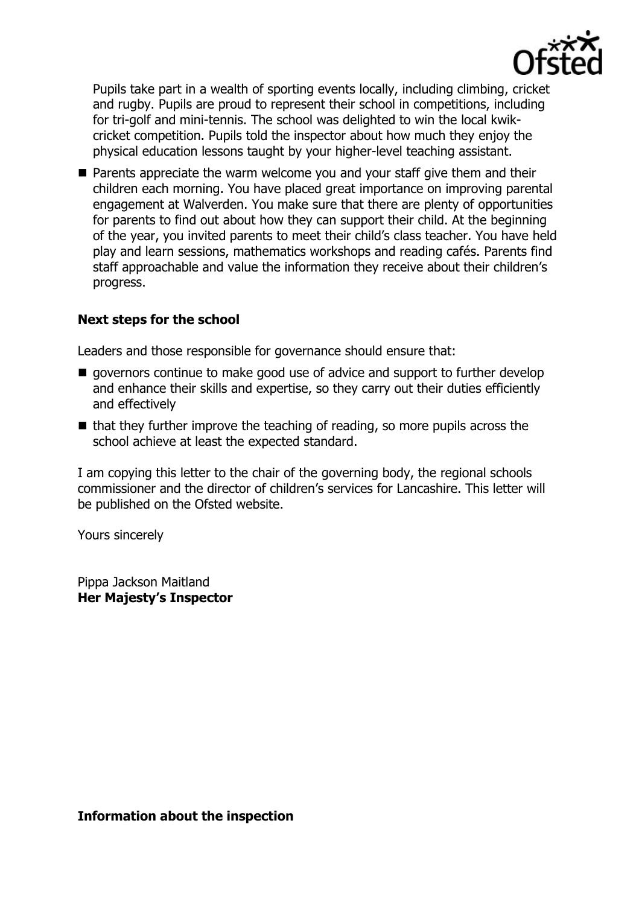

Pupils take part in a wealth of sporting events locally, including climbing, cricket and rugby. Pupils are proud to represent their school in competitions, including for tri-golf and mini-tennis. The school was delighted to win the local kwikcricket competition. Pupils told the inspector about how much they enjoy the physical education lessons taught by your higher-level teaching assistant.

**Parents appreciate the warm welcome you and your staff give them and their** children each morning. You have placed great importance on improving parental engagement at Walverden. You make sure that there are plenty of opportunities for parents to find out about how they can support their child. At the beginning of the year, you invited parents to meet their child's class teacher. You have held play and learn sessions, mathematics workshops and reading cafés. Parents find staff approachable and value the information they receive about their children's progress.

#### **Next steps for the school**

Leaders and those responsible for governance should ensure that:

- $\blacksquare$  governors continue to make good use of advice and support to further develop and enhance their skills and expertise, so they carry out their duties efficiently and effectively
- $\blacksquare$  that they further improve the teaching of reading, so more pupils across the school achieve at least the expected standard.

I am copying this letter to the chair of the governing body, the regional schools commissioner and the director of children's services for Lancashire. This letter will be published on the Ofsted website.

Yours sincerely

Pippa Jackson Maitland **Her Majesty's Inspector**

**Information about the inspection**